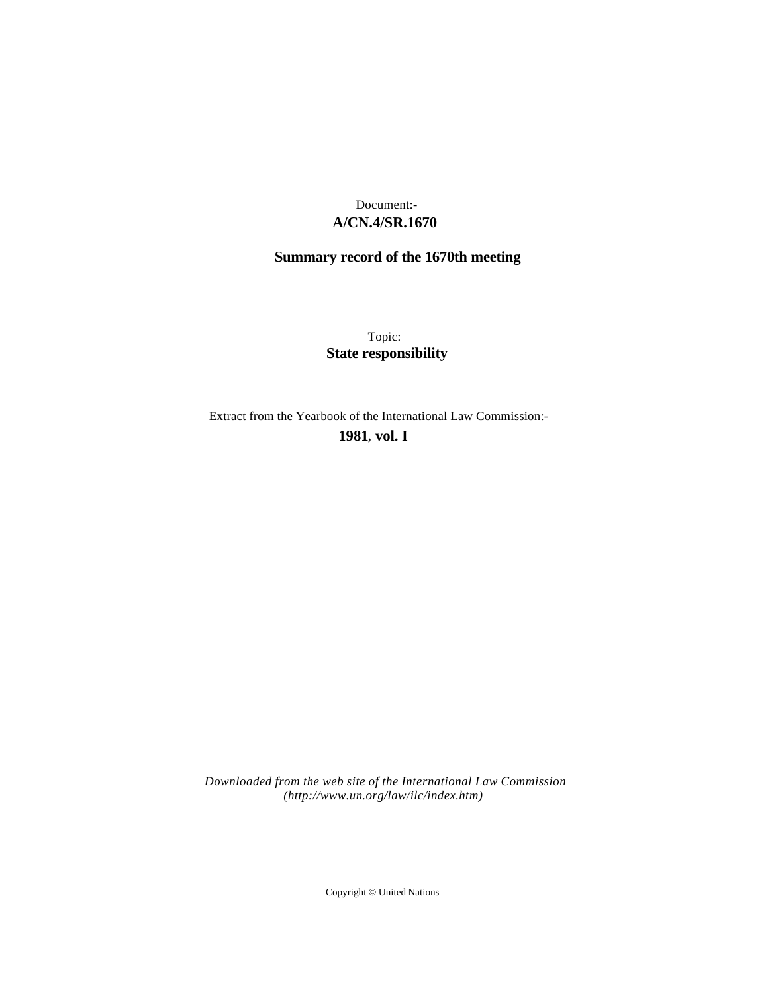# **A/CN.4/SR.1670** Document:-

# **Summary record of the 1670th meeting**

Topic: **State responsibility**

Extract from the Yearbook of the International Law Commission:-

**1981** , **vol. I**

*Downloaded from the web site of the International Law Commission (http://www.un.org/law/ilc/index.htm)*

Copyright © United Nations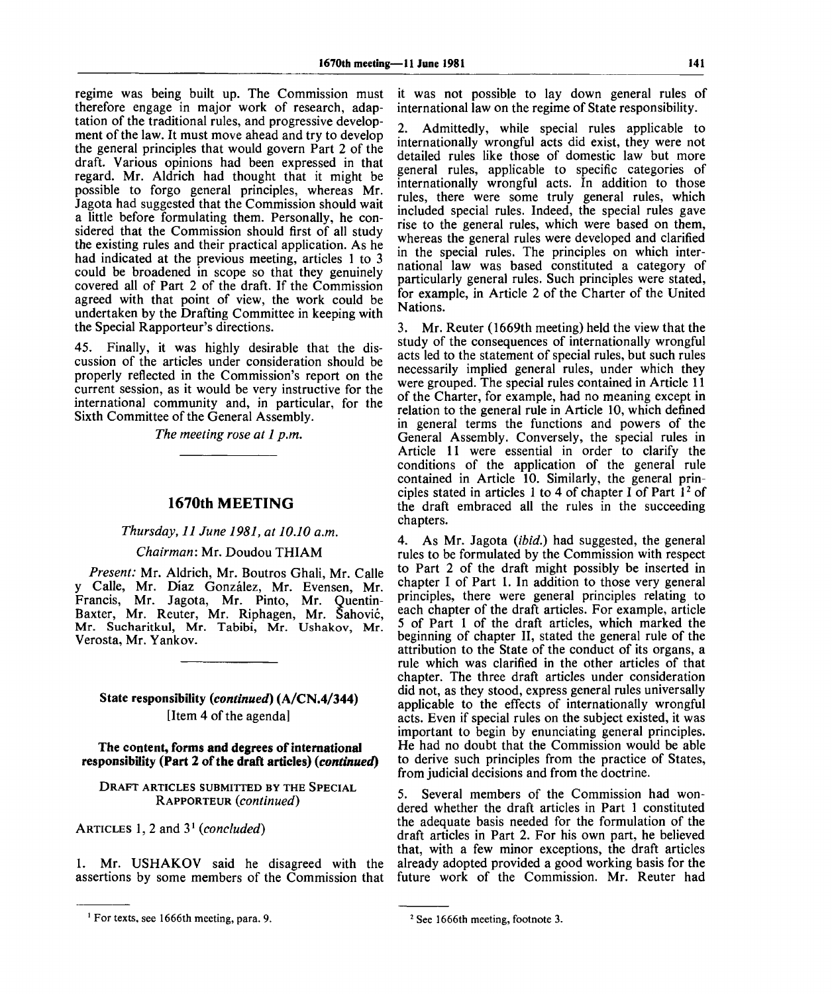regime was being built up. The Commission must therefore engage in major work of research, adaptation of the traditional rules, and progressive development of the law. It must move ahead and try to develop the general principles that would govern Part 2 of the draft. Various opinions had been expressed in that regard. Mr. Aldrich had thought that it might be possible to forgo general principles, whereas Mr. Jagota had suggested that the Commission should wait a little before formulating them. Personally, he considered that the Commission should first of all study the existing rules and their practical application. As he had indicated at the previous meeting, articles 1 to 3 could be broadened in scope so that they genuinely covered all of Part 2 of the draft. If the Commission agreed with that point of view, the work could be undertaken by the Drafting Committee in keeping with the Special Rapporteur's directions.

45. Finally, it was highly desirable that the discussion of the articles under consideration should be properly reflected in the Commission's report on the current session, as it would be very instructive for the international community and, in particular, for the Sixth Committee of the General Assembly.

*The meeting rose at 1 p.m.*

### **1670th MEETING**

### *Thursday, 11 June 1981, at 10.10 a.m.*

### *Chairman:* Mr. Doudou THIAM

*Present:* Mr. Aldrich, Mr. Boutros Ghali, Mr. Calle y Calle, Mr. Diaz Gonzalez, Mr. Evensen, Mr. Francis, Mr. Jagota, Mr. Pinto, Mr. Quentin-Baxter, Mr. Reuter, Mr. Riphagen, Mr. Sahovic, Mr. Sucharitkul, Mr. Tabibi, Mr. Ushakov, Mr. Verosta, Mr. Yankov.

## **State responsibility** *(continued)* **(A/CN.4/344)** [Item 4 of the agenda]

#### **The content, forms and degrees of international responsibility (Part 2 of the draft articles)** *(continued)*

### DRAFT ARTICLES SUBMITTED BY THE SPECIAL RAPPORTEUR *(continued)*

ARTICLES 1, 2 and 3<sup>1</sup>  *(concluded)*

1. Mr. USHAKOV said he disagreed with the assertions by some members of the Commission that

it was not possible to lay down general rules of international law on the regime of State responsibility.

2. Admittedly, while special rules applicable to internationally wrongful acts did exist, they were not detailed rules like those of domestic law but more general rules, applicable to specific categories of internationally wrongful acts. In addition to those rules, there were some truly general rules, which included special rules. Indeed, the special rules gave rise to the general rules, which were based on them, whereas the general rules were developed and clarified in the special rules. The principles on which international law was based constituted a category of particularly general rules. Such principles were stated, for example, in Article 2 of the Charter of the United Nations.

3. Mr. Reuter (1669th meeting) held the view that the study of the consequences of internationally wrongful acts led to the statement of special rules, but such rules necessarily implied general rules, under which they were grouped. The special rules contained in Article 11 of the Charter, for example, had no meaning except in relation to the general rule in Article 10, which defined in general terms the functions and powers of the General Assembly. Conversely, the special rules in Article 11 were essential in order to clarify the conditions of the application of the general rule contained in Article 10. Similarly, the general principles stated in articles 1 to 4 of chapter I of Part  $1<sup>2</sup>$  of the draft embraced all the rules in the succeeding chapters.

4. As Mr. Jagota *(ibid.)* had suggested, the general rules to be formulated by the Commission with respect to Part 2 of the draft might possibly be inserted in chapter I of Part 1. In addition to those very general principles, there were general principles relating to each chapter of the draft articles. For example, article 5 of Part 1 of the draft articles, which marked the beginning of chapter II, stated the general rule of the attribution to the State of the conduct of its organs, a rule which was clarified in the other articles of that chapter. The three draft articles under consideration did not, as they stood, express general rules universally applicable to the effects of internationally wrongful acts. Even if special rules on the subject existed, it was important to begin by enunciating general principles. He had no doubt that the Commission would be able to derive such principles from the practice of States, from judicial decisions and from the doctrine.

5. Several members of the Commission had wondered whether the draft articles in Part 1 constituted the adequate basis needed for the formulation of the draft articles in Part 2. For his own part, he believed that, with a few minor exceptions, the draft articles already adopted provided a good working basis for the future work of the Commission. Mr. Reuter had

For texts, see 1666th meeting, para. 9.

<sup>&</sup>lt;sup>2</sup> See 1666th meeting, footnote 3.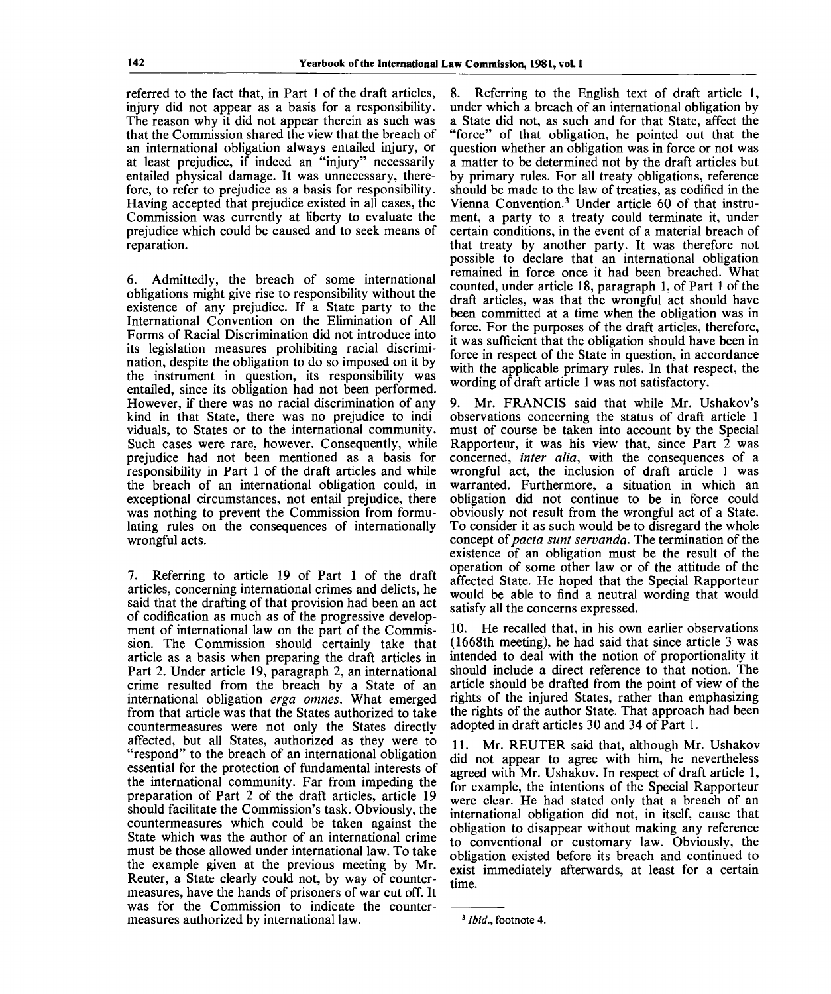referred to the fact that, in Part 1 of the draft articles, injury did not appear as a basis for a responsibility. The reason why it did not appear therein as such was that the Commission shared the view that the breach of an international obligation always entailed injury, or at least prejudice, if indeed an "injury" necessarily entailed physical damage. It was unnecessary, therefore, to refer to prejudice as a basis for responsibility. Having accepted that prejudice existed in all cases, the Commission was currently at liberty to evaluate the prejudice which could be caused and to seek means of reparation.

6. Admittedly, the breach of some international obligations might give rise to responsibility without the existence of any prejudice. If a State party to the International Convention on the Elimination of All Forms of Racial Discrimination did not introduce into its legislation measures prohibiting racial discrimination, despite the obligation to do so imposed on it by the instrument in question, its responsibility was entailed, since its obligation had not been performed. However, if there was no racial discrimination of any kind in that State, there was no prejudice to individuals, to States or to the international community. Such cases were rare, however. Consequently, while prejudice had not been mentioned as a basis for responsibility in Part 1 of the draft articles and while the breach of an international obligation could, in exceptional circumstances, not entail prejudice, there was nothing to prevent the Commission from formulating rules on the consequences of internationally wrongful acts.

7. Referring to article 19 of Part 1 of the draft articles, concerning international crimes and delicts, he said that the drafting of that provision had been an act of codification as much as of the progressive development of international law on the part of the Commission. The Commission should certainly take that article as a basis when preparing the draft articles in Part 2. Under article 19, paragraph 2, an international crime resulted from the breach by a State of an international obligation *erga omnes.* What emerged from that article was that the States authorized to take countermeasures were not only the States directly affected, but all States, authorized as they were to "respond" to the breach of an international obligation essential for the protection of fundamental interests of the international community. Far from impeding the preparation of Part 2 of the draft articles, article 19 should facilitate the Commission's task. Obviously, the countermeasures which could be taken against the State which was the author of an international crime must be those allowed under international law. To take the example given at the previous meeting by Mr. Reuter, a State clearly could not, by way of countermeasures, have the hands of prisoners of war cut off. It was for the Commission to indicate the countermeasures authorized by international law.

8. Referring to the English text of draft article 1, under which a breach of an international obligation by a State did not, as such and for that State, affect the "force" of that obligation, he pointed out that the question whether an obligation was in force or not was a matter to be determined not by the draft articles but by primary rules. For all treaty obligations, reference should be made to the law of treaties, as codified in the Vienna Convention.<sup>3</sup> Under article 60 of that instrument, a party to a treaty could terminate it, under certain conditions, in the event of a material breach of that treaty by another party. It was therefore not possible to declare that an international obligation remained in force once it had been breached. What counted, under article 18, paragraph 1, of Part 1 of the draft articles, was that the wrongful act should have been committed at a time when the obligation was in force. For the purposes of the draft articles, therefore, it was sufficient that the obligation should have been in force in respect of the State in question, in accordance with the applicable primary rules. In that respect, the wording of draft article 1 was not satisfactory.

9. Mr. FRANCIS said that while Mr. Ushakov's observations concerning the status of draft article 1 must of course be taken into account by the Special Rapporteur, it was his view that, since Part 2 was concerned, *inter alia,* with the consequences of a wrongful act, the inclusion of draft article 1 was warranted. Furthermore, a situation in which an obligation did not continue to be in force could obviously not result from the wrongful act of a State. To consider it as such would be to disregard the whole concept *oipacta sunt servanda.* The termination of the existence of an obligation must be the result of the operation of some other law or of the attitude of the affected State. He hoped that the Special Rapporteur would be able to find a neutral wording that would satisfy all the concerns expressed.

10. He recalled that, in his own earlier observations (1668th meeting), he had said that since article 3 was intended to deal with the notion of proportionality it should include a direct reference to that notion. The article should be drafted from the point of view of the rights of the injured States, rather than emphasizing the rights of the author State. That approach had been adopted in draft articles 30 and 34 of Part 1.

11. Mr. REUTER said that, although Mr. Ushakov did not appear to agree with him, he nevertheless agreed with Mr. Ushakov. In respect of draft article 1, for example, the intentions of the Special Rapporteur were clear. He had stated only that a breach of an international obligation did not, in itself, cause that obligation to disappear without making any reference to conventional or customary law. Obviously, the obligation existed before its breach and continued to exist immediately afterwards, at least for a certain time.

<sup>&#</sup>x27; *Ibid.,* footnote 4.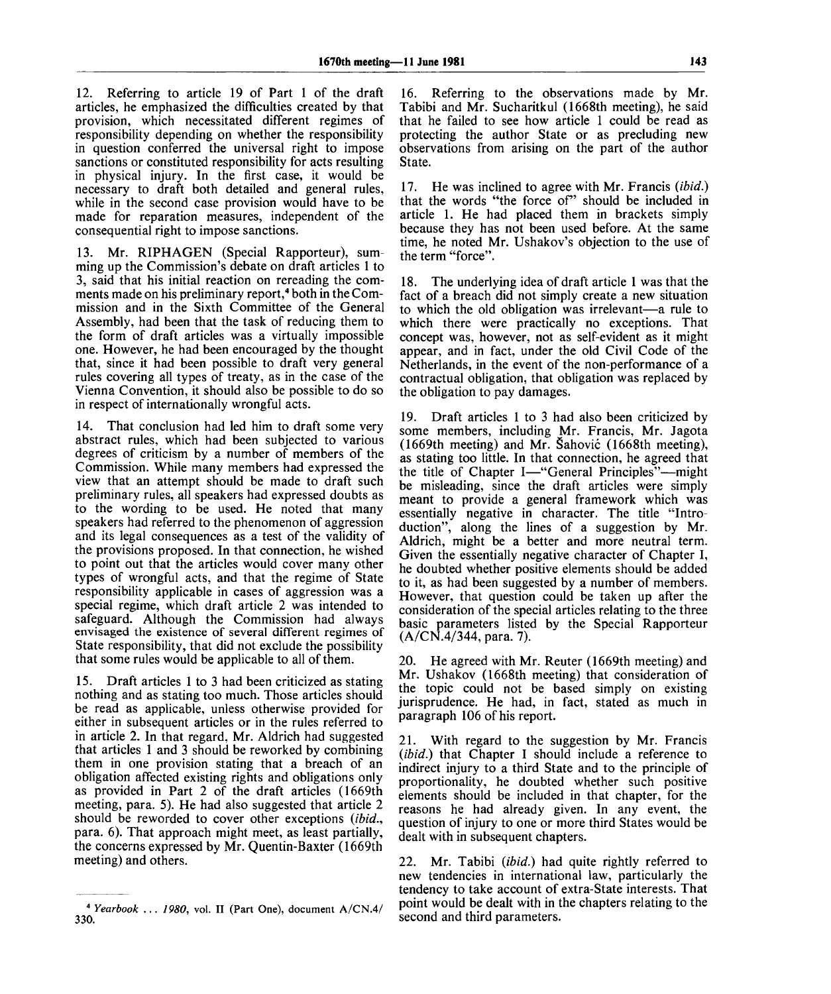12. Referring to article 19 of Part 1 of the draft articles, he emphasized the difficulties created by that provision, which necessitated different regimes of responsibility depending on whether the responsibility in question conferred the universal right to impose sanctions or constituted responsibility for acts resulting in physical injury. In the first case, it would be necessary to draft both detailed and general rules, while in the second case provision would have to be made for reparation measures, independent of the consequential right to impose sanctions.

13. Mr. RIPHAGEN (Special Rapporteur), summing up the Commission's debate on draft articles 1 to 3, said that his initial reaction on rereading the comments made on his preliminary report,<sup>4</sup> both in the Commission and in the Sixth Committee of the General Assembly, had been that the task of reducing them to the form of draft articles was a virtually impossible one. However, he had been encouraged by the thought that, since it had been possible to draft very general rules covering all types of treaty, as in the case of the Vienna Convention, it should also be possible to do so in respect of internationally wrongful acts.

14. That conclusion had led him to draft some very abstract rules, which had been subjected to various degrees of criticism by a number of members of the Commission. While many members had expressed the view that an attempt should be made to draft such preliminary rules, all speakers had expressed doubts as to the wording to be used. He noted that many speakers had referred to the phenomenon of aggression and its legal consequences as a test of the validity of the provisions proposed. In that connection, he wished to point out that the articles would cover many other types of wrongful acts, and that the regime of State responsibility applicable in cases of aggression was a special regime, which draft article 2 was intended to safeguard. Although the Commission had always envisaged the existence of several different regimes of State responsibility, that did not exclude the possibility that some rules would be applicable to all of them.

15. Draft articles 1 to 3 had been criticized as stating nothing and as stating too much. Those articles should be read as applicable, unless otherwise provided for either in subsequent articles or in the rules referred to in article 2. In that regard, Mr. Aldrich had suggested that articles 1 and 3 should be reworked by combining them in one provision stating that a breach of an obligation affected existing rights and obligations only as provided in Part 2 of the draft articles (1669th meeting, para. 5). He had also suggested that article 2 should be reworded to cover other exceptions *(ibid.,* para. 6). That approach might meet, as least partially, the concerns expressed by Mr. Quentin-Baxter (1669th meeting) and others.

16. Referring to the observations made by Mr. Tabibi and Mr. Sucharitkul (1668th meeting), he said that he failed to see how article 1 could be read as protecting the author State or as precluding new observations from arising on the part of the author State.

17. He was inclined to agree with Mr. Francis *(ibid.)* that the words "the force of" should be included in article 1. He had placed them in brackets simply because they has not been used before. At the same time, he noted Mr. Ushakov's objection to the use of the term "force".

18. The underlying idea of draft article 1 was that the fact of a breach did not simply create a new situation to which the old obligation was irrelevant—a rule to which there were practically no exceptions. That concept was, however, not as self-evident as it might appear, and in fact, under the old Civil Code of the Netherlands, in the event of the non-performance of a contractual obligation, that obligation was replaced by the obligation to pay damages.

19. Draft articles 1 to 3 had also been criticized by some members, including Mr. Francis, Mr. Jagota (1669th meeting) and Mr. Sahovic (1668th meeting), as stating too little. In that connection, he agreed that the title of Chapter I—"General Principles"—might be misleading, since the draft articles were simply meant to provide a general framework which was essentially negative in character. The title "Introduction", along the lines of a suggestion by Mr. Aldrich, might be a better and more neutral term. Given the essentially negative character of Chapter I, he doubted whether positive elements should be added to it, as had been suggested by a number of members. However, that question could be taken up after the consideration of the special articles relating to the three basic parameters listed by the Special Rapporteur (A/CN.4/344, para. 7).

20. He agreed with Mr. Reuter (1669th meeting) and Mr. Ushakov (1668th meeting) that consideration of the topic could not be based simply on existing jurisprudence. He had, in fact, stated as much in paragraph 106 of his report.

21. With regard to the suggestion by Mr. Francis *(ibid.)* that Chapter I should include a reference to indirect injury to a third State and to the principle of proportionality, he doubted whether such positive elements should be included in that chapter, for the reasons he had already given. In any event, the question of injury to one or more third States would be dealt with in subsequent chapters.

22. Mr. Tabibi *(ibid.)* had quite rightly referred to new tendencies in international law, particularly the tendency to take account of extra-State interests. That point would be dealt with in the chapters relating to the second and third parameters.

<sup>4</sup>  *Yearbook* .. . *1980,* vol. II (Part One), document A/CN.4/ 330.